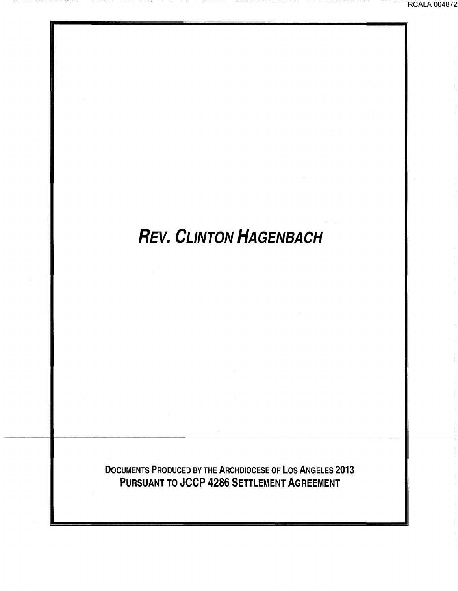# **REV. CLINTON HAGENBACH**

DOCUMENTS PRODUCED BY THE ARCHDIOCESE OF LOS ANGELES 2013 PURSUANT TO JCCP 4286 SETTLEMENT AGREEMENT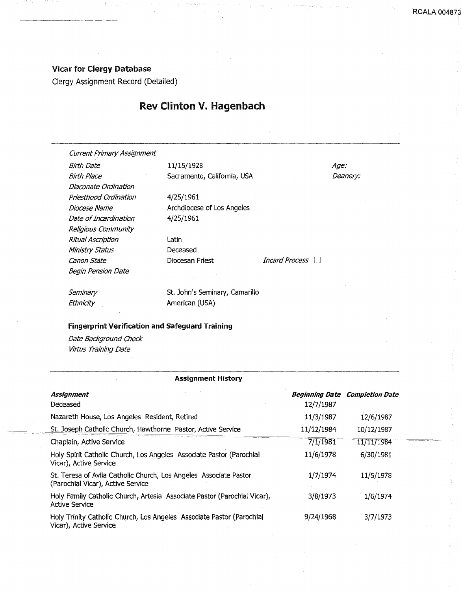### Vicar for Clergy Database

------·· -----·

Clergy Assignment Record (Detailed)

### Rev Clinton V. Hagenbach

Current Primary Assignment

Birth Date 11/15/1928 Diaconate Ordination Priesthood Ordination Diocese Name Date of Incardination Religious Community Ritual Ascription Ministry Status Canon State Begin Pension Date

Birth Place Sacramento, California, USA

4/25/1961 Archdiocese of Los Angeles 4/25/1961

Latin Deceased

Diocesan Priest Incard Process  $\Box$ 

Age: Deanery:

**Seminary Ethnicity** 

St. John's Seminary, Camarillo American {USA)

### **Fingerprint Verification and safeguard Training**

Date Background Check Virtus Training Date

### **Assignment History**

| <b>Assignment</b><br>Deceased                                                                          | 12/7/1987  | <b>Beginning Date Completion Date</b> |  |
|--------------------------------------------------------------------------------------------------------|------------|---------------------------------------|--|
| Nazareth House, Los Angeles Resident, Retired                                                          | 11/3/1987  | 12/6/1987                             |  |
| St. Joseph Catholic Church, Hawthorne Pastor, Active Service                                           | 11/12/1984 | 10/12/1987                            |  |
| Chaplain, Active Service                                                                               | 7/1/1981   | 11/11/1984                            |  |
| Holy Spirit Catholic Church, Los Angeles Associate Pastor (Parochial<br>Vicar), Active Service         | 11/6/1978  | 6/30/1981                             |  |
| St. Teresa of Avila Catholic Church, Los Angeles Associate Pastor<br>(Parochial Vicar), Active Service | 1/7/1974   | 11/5/1978                             |  |
| Holy Family Catholic Church, Artesia Associate Pastor (Parochial Vicar),<br><b>Active Service</b>      | 3/8/1973   | 1/6/1974                              |  |
| Holy Trinity Catholic Church, Los Angeles Associate Pastor (Parochial<br>Vicar), Active Service        | 9/24/1968  | 3/7/1973                              |  |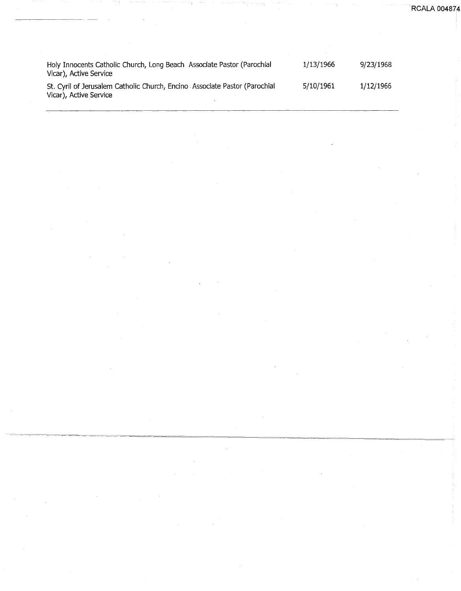**RCALA 00487** 

| Holy Innocents Catholic Church, Long Beach Associate Pastor (Parochial<br>Vicar), Active Service     | 1/13/1966 | 9/23/1968 |
|------------------------------------------------------------------------------------------------------|-----------|-----------|
| St. Cyril of Jerusalem Catholic Church, Encino Associate Pastor (Parochial<br>Vicar), Active Service | 5/10/1961 | 1/12/1966 |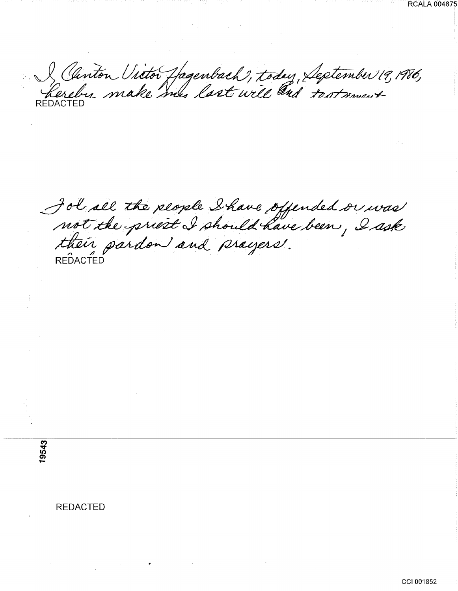J Chinton Victor Hagenbach, today, September 19, 1986,

Jol all the plople Shave offended or was<br>not the priest I should have been, I ask<br>their pardon and prayers.

RCALA 004875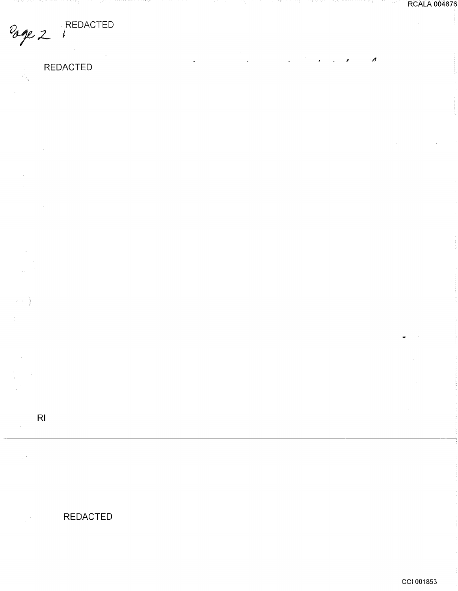lage 2 REDACTED

 $\sim$ 

> $\mathcal{L}$  $\sim$   $\lambda$  $\varphi\in\mathcal{E}$

 $\omega \rightarrow \frac{\gamma}{2}$ 

 $\mathbb{C}^{\times}$ 

 $\bar{z}$ 

 $\bar{\beta}$ 

 $\frac{1}{2}$ 

 $\frac{1}{2}$  :

**REDACTED** 

 $\bar{z}$ 

 $\overline{\phantom{a}}$ 

 $\ddot{\phantom{a}}$ 

 $\overline{a}$ 

 $\bar{\gamma}$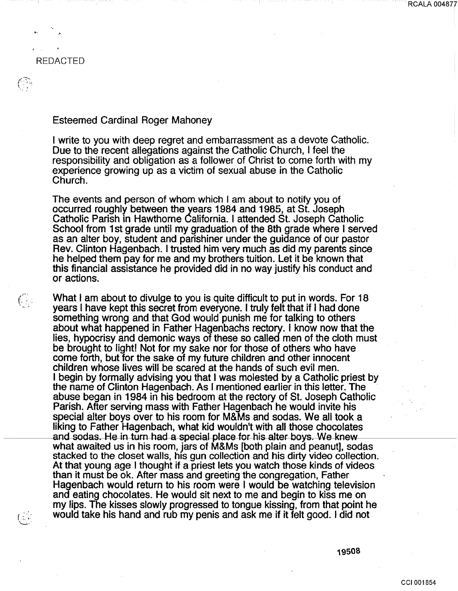ing<br>S

 $C_{\rm{th}}$ 

### Esteemed Cardinal Roger Mahoney

I write to you with deep regret and embarrassment as a devote Catholic. Due to the recent allegations against the Catholic Church, I feel the responsibility and obligation as a follower of Christ to come forth with my experience growing up as a victim of sexual abuse in the Catholic Church.

The events and person of whom which I am about to notify you of occurred roughly between the years 1984 and 1985, at St. Joseph Catholic Parish in Hawthorne California. I attended St. Joseph Catholic School from 1 st grade until my graduation of the 8th grade where I served as an alter boy, student and parishiner under the guidance of our pastor Rev. Clinton Hagenbach. I trusted him very much as did my parents since he helped them pay for me and my brothers tuition. Let it be known that this financial assistance he provided did in no way justify his conduct and or actions.

What I am about to divulge to you is quite difficult to put in words. For 18 years I have kept this secret from everyone. I truly felt that if I had done something wrong and that God would punish me for talking to others about what happened in Father Hagenbachs rectory. I know now that the lies, hypocrisy and demonic ways of these so called men of the cloth must be brought to light! Not for my sake nor for those of others who have come forth, but for the sake of my future children and other innocent children whose lives will be scared at the hands of such evil men. I begin by formally advising you that I was molested by a Catholic priest by the name of Clinton Hagenbach. As I mentioned earlier in this letter. The abuse began in 1984 in his bedroom at the rectory of St. Joseph Catholic Parish. After serving mass with Father Hagenbach he would invite his special alter boys over to his room for M&Ms and sodas. We all took a liking to Father Hagenbach, what kid wouldn't with all those chocolates and sodas. He in turn had a special place for his alter boys. We knew what awaited us in his room, jars of M&Ms [both plain and peanut], sodas stacked to the closet walls, his gun collection and his dirty video collection. At that young age I thought if a priest lets you watch those kinds of videos than it must be ok. After mass and greeting the congregation, Father Hagenbach would return to his room were I would be watching television and eating chocolates. He would sit next to me and begin to kiss me on my lips. The kisses slowly progressed to tongue kissing, from that point he would take his hand and rub my penis and ask me if it felt good. I did not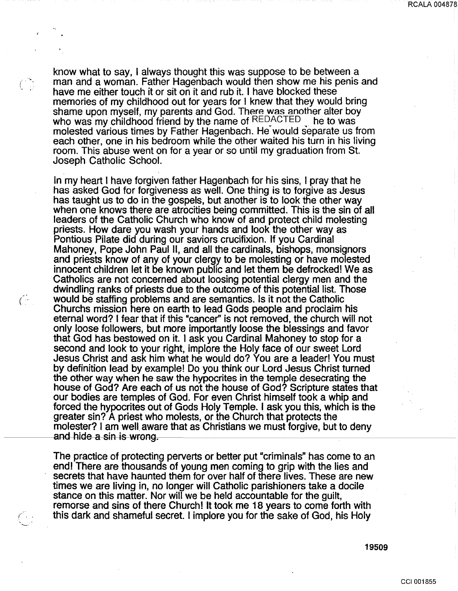RCALA 004878

know what to say, I always thought this was suppose to be between a man and a woman. Father Hagenbach would then show me his penis and have me either touch it or sit on it and rub it. I have blocked these memories of my childhood out for years for I knew that they would bring shame upon myself, my parents and God. There was another alter boy who was my childhood friend by the name of REDACTED — he to was molested various times by Father Hagenbach. He would separate us from each other, one in his bedroom while the other waited his turn in his living room. This abuse went on for a year or so until my graduation from St. Joseph Catholic School.

In my heart I have forgiven father Hagenbach for his sins, I pray that he has asked God for forgiveness as well. One thing is to forgive as Jesus has taught us to do in the gospels, but another is to look the other way when one knows there are atrocities being committed. This is the sin of all leaders of the Catholic Church who know of and protect child molesting priests. How dare you wash your hands and look the other way as Pontious Pilate did during our saviors crucifixion. If you Cardinal Mahoney, Pope John Paul II, and all the cardinals, bishops, monsignors and priests know of any of your clergy to be molesting or have molested innocent children let it be known public and let them be defrocked! We as Catholics are not concerned about loosing potential clergy men and the dwindling ranks of priests due to the outcome of this potential list. Those would be staffing problems and are semantics. Is it not the Catholic Churchs mission here on earth to lead Gods people and proclaim his eternal word? I fear that if this "cancer'' is not removed, the church will not only loose followers, but more importantly loose the blessings and favor that God has bestowed on it. I ask you Cardinal Mahoney to stop for a second and look to your right, implore the Holy face of our sweet Lord Jesus Christ and ask him what he would do? You are a leader! You must by definition lead by example! Do you think our Lord Jesus Christ turned the other way when he saw the hypocrites in the temple desecrating the house of God? Are each of us not the house of God? Scripture states that our bodies are temples of God. For even Christ himself took a whip and forced the hypocrites out of Gods Holy Temple. I ask you this, which is the greater sin? A priest who molests, or the Church that protects the molester? I am well aware that as Christians we must forgive, but to deny and hide a sin is wrong.

 $\bigcap$ 

 $\bigcap_{i=1}^n$ 

 $\left(\begin{array}{c} \cdot \end{array}\right)$ 

The practice of protecting perverts or better put "criminals" has come to an end! There are thousands of young men coming to grip with the lies and secrets that have haunted them for over half of there lives. These are new times we are living in, no longer will Catholic parishioners take a docile stance on this matter. Nor will we be held accountable for the guilt, remorse and sins of there Church! It took me 18 years to come forth with this dark and shameful secret. I implore you for the sake of God, his Holy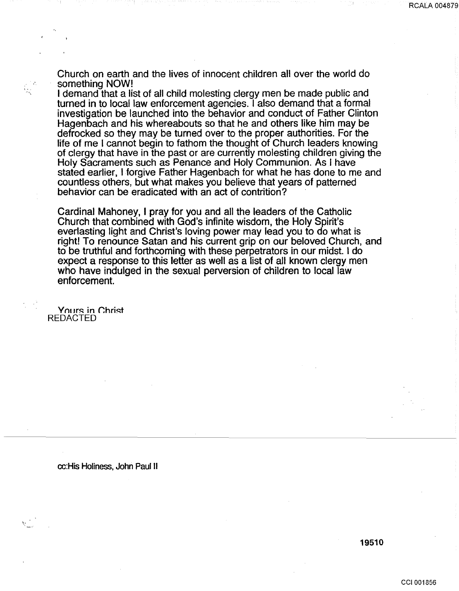Church on earth and the lives of innocent children all over the world do something NOW!

I demand that a list of all child molesting clergy men be made public and turned in to local law enforcement agencies. I also demand that a formal investigation be launched into the behavior and conduct of Father Clinton Hagenbach and his whereabouts so that he and others like him may be defrocked so they may be turned over to the proper authorities. For the life of me I cannot begin to fathom the thought of Church leaders knowing of clergy that have in the past or are currently molesting children giving the Holy Sacraments such as Penance and Holy Communion. As I have stated earlier, I forgive Father Hagenbach for what he has done to me and countless others, but what makes you believe that years of patterned behavior can be eradicated with an act of contrition?

Cardinal Mahoney, I pray for you and all the leaders of the Catholic Church that combined with God's infinite wisdom, the Holy Spirit's everlasting light and Christ's loving power may lead you to do what is right! To renounce Satan and his current grip on our beloved Church, and to be truthful and forthcoming with these perpetrators in our midst. I do expect a response to this letter as well as a list of all known clergy men who have indulged in the sexual perversion of children to local law enforcement.

Yours in Christ REDACTED

 $\mathbb{R}$  . .,

cc:His Holiness, John Paul II

RCALA 004879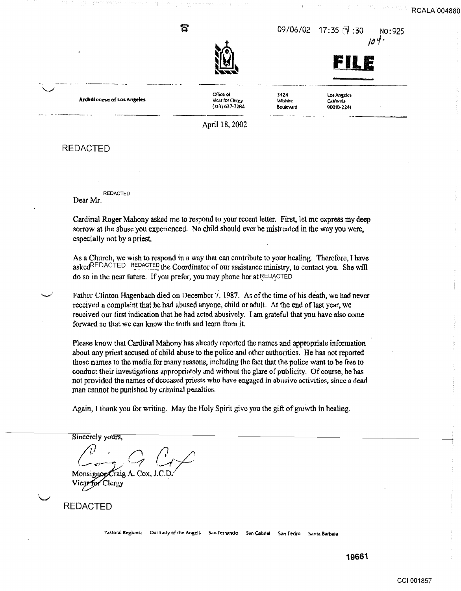**RCALA 00488** 

 $\bullet$  09/06/02 17:35  $\uparrow$  :30 No:925



otlice ol **Vicar for Clerey** (7.1~)637-72.84

3424 Los Angeles<br>
Mishire California **5oulevard 90010-2241**  $\overline{\phantom{a}}$ 

California

**Archdiocese of Los Angeles** 

April 18,2002

REDACTED

.<br>سمب*دسه* 

REDACTED

Dear Mr.

Cardinal Roger Mahony asked me to respond to your recent letter. First, let me express my deep sorrow at the abuse you experienced. No child should ever be mistreated in the way you were, especially not by a priest.

As a Church, we wish to respond in a way that can contribute to your healing. Therefore, I have askedREDACTED REDACTED the Coordinator of our assistance ministry, to contact you. She will do so in the near future. If you prefer, you may phone her at REDACTED

Father Clinton Hagenbach died on December 7, 1987. As of the time of his death, we had never received a complaint that he had abused anyone. child or adult. At the end oflast year, we received our first indication that he had acted abusively. I am grateful that you have also come forward so that we can know the truth and learn from it.

Please know that Cardinal Mahony has already reported the names and appropriate information about any priest accused of cbjld abuse to the police and other authorities. He has not reported those names to the media for many reasons, including the fact that the police want to be free to conduct their investigations appropriately and without the glare of publicity. Of course, he has not provided the names of dweased priests who have engaged in abusive activities, since a dead man cannot be punished by criminal penalties.

Again, I thank you for writing. May the Holy Spirit give you the gift of growth in healing.

Sincerely yours,

Monsignor Craig A. Cox, J.

REDACTED

Pastoral Regions: Our Lady of the Angels San Fernando San Gabriel San Pedro Santa Barbara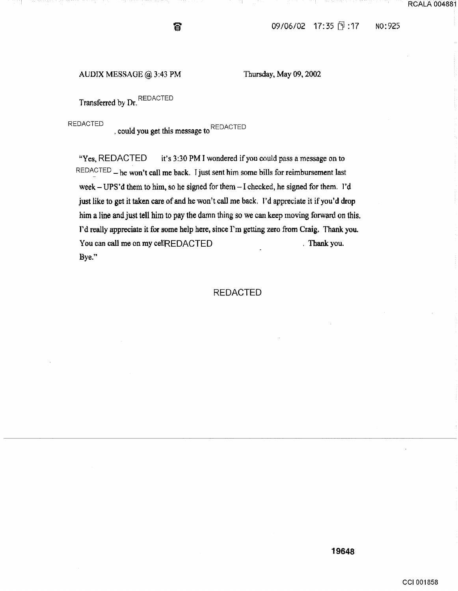### AUDJX MESSAGE@ 3:43 PM Thursday, May 09, 2002

Transferred by Dr. REDACTED

REDACTED  $\,$ , could you get this message to REDACTED

ີ້ ລ

"Yes, REDACTED it's 3:30 PM I wondered if you could pass a message on to  $REDACTED$  - he won't call me back. I just sent him some bills for reimbursement last week- UPS'd them to him, so he signed for them- I checked, he signed for them. I'd just like to get it taken care of and he won't call me back. I'd appreciate it if you'd drop him a line and just tell him to pay the damn thing so we can keep moving forward on this. I'd really appreciate it for some help here, since I'm getting zero from Craig. Thank you. You can call me on my cellREDACTED . Thank you. Bye."

### REDACTED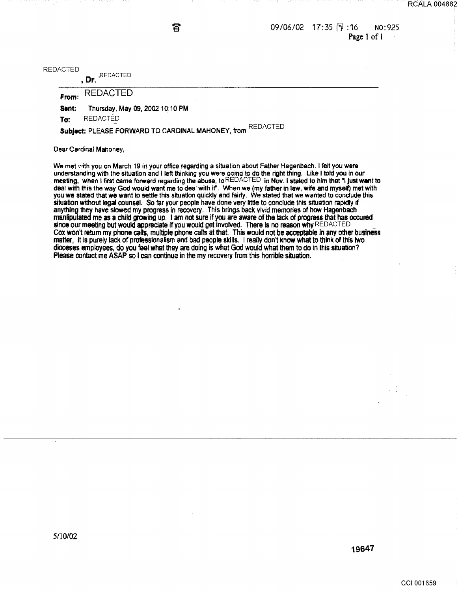$09/06/02$  17:35  $\sqrt{9}$ :16 No:925 Page 1 of I

REDACTED

, Dr.  $^\mathsf{REDACIED}$ 

From: REDACTED

Sent: Thursday, May 09, 2002 10:10 PM

To: REDACTÉD

Subject: PLEASE FORWARD TO CARDINAL MAHONEY, from REDACTED

ត

Dear Cardinal Mahoney,

We met with you on March 19 in your office regarding a situation about Father Hagenbach. I felt you were understanding with the situation and I left thinking you were aoina to do the tight thing. Like I told you In our meeting, when I first came forward regarding the abuse, to REDACTED in Nov. I stated to him that "I just want to deal with this the way God would want me to deal with it". When we (my father in law, wife and myself) met with you we stated that we want to settle this situation quickly and fairly. We stated that we wanted to conclude this situation without legal counsel. So far your people have done very little to conclude this situation rapidly if anything they have slowed my progress in recovery. This brings back vivid memories of how Hagenbach manlipulated me as a child growing up. 1 am not sure if you are aware of the lack of progress that has occured since our meeting but would appreciate if you would get involved. There is no reason why REDACTED Cox won't return my phone calls, multiple phone calls at that. This would not be acceptable in any other business matter, it is purely lack of professionalism and bad people skills. I really don't know what to think of this two dioceses employees, do you feel what they are doing is what God would what them to do in this situation? Please contact me ASAP so I can continue in the my recovery from this horrible situation.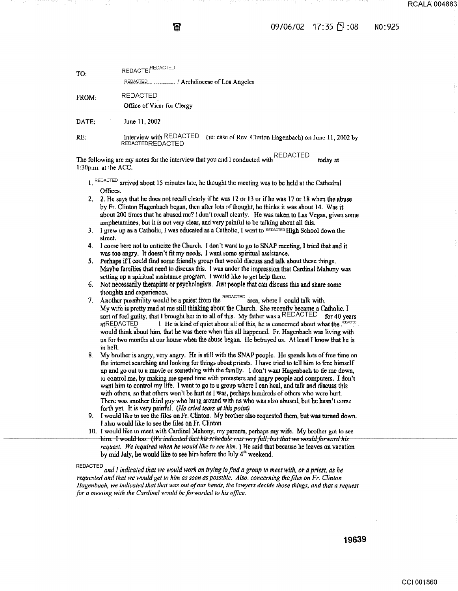ត

### $09/06/02$  17:35  $\Box$  :08 N0:925

| REDACTEI <sup>REDACTED</sup>                       |                                                          |
|----------------------------------------------------|----------------------------------------------------------|
| <b>REDACTED</b><br>Office of Vicar for Clergy      |                                                          |
| June 11, 2002                                      |                                                          |
| Interview with REDACTED<br><b>REDACTEDREDACTED</b> | (re: case of Rev. Clinton Hagenbach) on June 11, 2002 by |
|                                                    |                                                          |

The following arc my notes for the interview that you and I conducted with  $REDACTER$  today at  $1.30$  must detect  $\overline{OS}$ I :;JOp.m. at 1he ACC.

 $l.$  REDACTED arrived about 15 minutes late, he thought the meeting was to be held at the Cathedral Offices.

2. 2. He says that he does not recall clearly if he was 12 or 13 or if he was 17 or 18 whon the abuse by Fr. Clinton Hagenbach began, then after lots of thought, he thinks it was about 14. Was it about 200 times that he abused me? I dun't recall clearly. He was taken to Las Vegas, given some amphetamines, but it is not very clear, and very painful to be talking about all this.

3. 1 grew up as a Catholic, I was educated as a Catholic, I went to 'REDACTED High School down the slreet.

4. I come here not to criticize the Church. I don't want to go to SNAP meeting, I tried that and it was too angry. It doesn't fit my needs. I want some spiritual assistance.

5. Perhaps if I could find some friendly group that would discuss and talk about these things. Maybe families that need to discuss this. I was under the impression that Cardinal Mahony was setting up a spiritual assistance program. I would like to get help there.

- 6. Not necessarily therapists or psychologists. Just people that can discuss this and share some thoughts and experiences.
- 7. A nother possibility would be a priest from the  $R_{\text{EDACTED}}$  area, where I could talk with. My wife is pretty mad at me still thinking about the Church. She recently became a Catholic. I sort of feel guilty, that I brought her in to all of this. My father was a REDACTED for 40 years atREDACTED 1. He is kind of quiet about all of this, he is concerned about what the  $\frac{1}{1}$ would think about him, that he was there when this all happened. Fr. Hagenbach was living with us for two months at our house when the abuse began. He betrayed us. At least I know that he is in hell.
- 8. My brother is angry, very angry. He is still with the SNAP people. He spends lots of free time on the internet searching and looking for things about priests. I have tried to tell him to free himself up and go out to a movie or something with the family. I don't want Hagenbach to tie me down, to control me, by making me spend time with protesters and angry people and computers. I don't want him to control my life. 1 want to go to a group where T can heal, and talk and discuss this with others, so that others won't be hurt as I was, perhaps hundreds of others who were hurt. There was another third guy who hung around with us who was also abused, but he hasn't come forth yet. It is very painful. *(He cried tears at this point)*
- 9. I would like to sec the fi1cs on Fr. Clinton. My brother also requested ihcm, but was turned down. I also would like to see the files on Fr. Clinton.
- 10. I would like to meet with Cardinal Mahony, my parents, perhaps my wife. My brother got to see him:-1-would-too;-(We indicated that his schedule was very full, but that we would forward his request. We inquired when he would like to see him. ) He said that because he leaves on vacation by mid July, he would like to see him before the July  $4<sup>th</sup>$  weekend.

REDACTED and I indicated that we would work on trying to find a group to meet with, or a priest, as he *requested and that we would get to him as soon as possible. Also, concerning the files on Fr. Clinton Jlagenbach, we indicated that that was out of our hands, the lawyers decide those things, and that a request for a meeting with the Cardinal would he forwarded to his office.*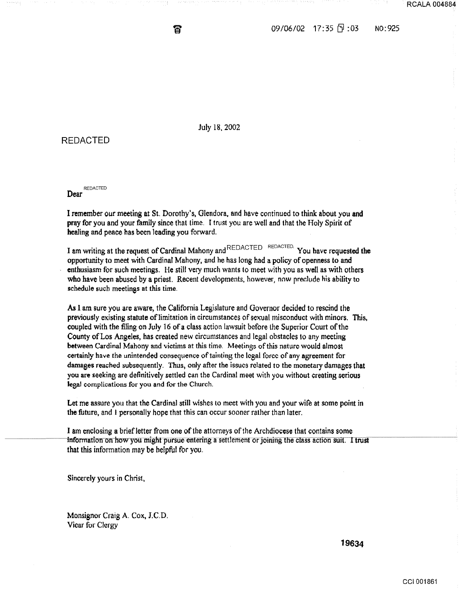09/06/02 17:35 F : 03 N0:925

July 18, 2002

ត

### REDACTED

REDACTED Dear

I remember our meeting at St. Dorothy's, Glendora, and have continued to think about you and pray for you and your family since that time. I trust you are well and that the Holy Spirit of healing and peace has been leading you forward.

I am writing at the request of Cardinal Mahony and REDACTED REDACTED. You have requested the opportunity to meet with Cardinal Mahony, and he has long had a policy of openness to and enthusiasm for such meetings. He still very much wants to meet with you as well as with others who have been abused by a priest. Recent developments, however, now preclude his ability to schedule such meetinss at this time.

As I am sure you are aware, the California Legislature and Governor decided to rescind the previously existing statute of limitation in circumstances of sexual misconduct with minors. This, coupled with the filing on July 16 of a class action lawsuit before the Superior Court ofthe County ofLos Angeles, has created new circumstances and legal obstacles to any meeting between Cardinal Mahony and victims at this time. Meetings of this nature would almost certainly have the unintended consequence of tainting the legal force of' any agreement for damages reached subsequently. Thus, only after the issues related to the monetary damages that you are seeking are definitively settled can the Cardinal meet with you without creating serious lesal complications for you and for the Church.

Let me assure you that the Cardinal still wishes to meet with you and your wife at some point in the future, and I personally hope that this can occur sooner rather than later.

I am enclosing a brief letter from one of the attorneys of the Archdiocese that contains some information on how you might pursue entering a settlement or joining the class action suit. I trust that this information may be helpful for you.

Sincerely yours in Christ,

Monsignor Craig A. Cox, J.C.D. Vicar for Clergy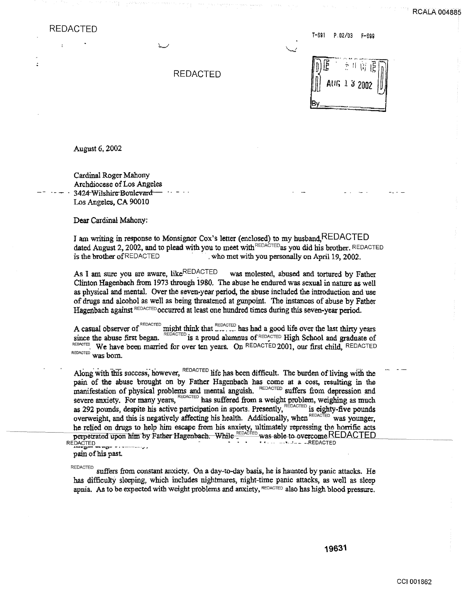÷,

ċ

T -691 P. 02/03 F-699

|  |  | REDACTED |
|--|--|----------|
|--|--|----------|

| $\mathbb{E}$ | <sup>会具()</sup> 程序 |
|--------------|--------------------|
|              | AUG 1 3 2002       |
|              |                    |

August 6, 2002

Cardinal Roger Mahony Archdiocese of Los Angeles 3424 Wilshire Boulevard Los Angeles, CA 90010

Dear Cardinal Mahony:

I am writing in response to Monsignor Cox's letter (enclosed) to my husband, REDACTED dated August 2, 2002, and to plead with you to meet with REDACTED as you did his brother. REDACTED is the brother of REDACTED who met with you personally on April 19, 2002.

As I am sure you are aware, like REDACTED was molested, abused and tortured by Father Clinton Hagenbach from 1973 through 1980. The abuse he endured was sexual in nature as well as physical and mental. Over the seven-year period, the abuse included the introduction and use of drugs and alcohol as well as being threatened at gunpoint. The instances of abuse by Father Hagenbach against  $REDACTED$  occurred at least one hundred times during this seven-year period.

A casual observer of <sup>REDACTED</sup> might think that  $\sum_{n=1}^{\text{REDACTED}}$  has had a good life over the last thirty years since the abuse first began.  $REDACTED$  is a proud alumnus of  $REDACTED$  High School and graduate of REDACTED. We have been married for over ten years. On REDACTED 2001, our first child. REDACTED REDACTED Was born.

Along with this success, however, REDACTED life has been difficult. The burden of living with the pain of the abuse brought on by Father Hagenbach has come at a cost, resulting in the manifestation of physical problems and mental anguish. REDACTED suffers from depression and severe anxiety. For many years, REDACTED has suffered from a weight problem, weighing as much as 292 pounds, despite his active participation in sports. Presently, REDACTED is eighty-five pounds overweight, and this is negatively affecting his health. Additionally, when REDACTED was vounger. he relied on drugs to help him escape from his anxiety, ultimately repressing the horrific acts<br>perpetrated upon him by Father Hagenbach. While **REDACTED** was able to overcome REDACTED<br>REDACTED

pain of his past

REDACTED suffers from constant anxiety. On a day-to-day basis, he is haunted by panic attacks. He has difficulty sleeping, which includes nightmares, night-time panic attacks, as well as sleep apnia. As to be expected with weight problems and anxiety,  $REDACTED$  also has high blood pressure.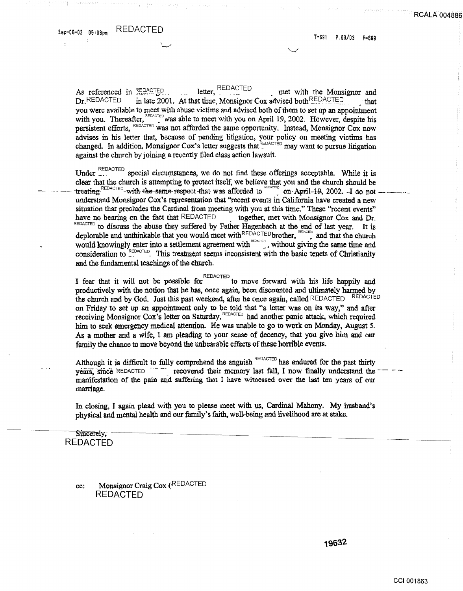ċ

As referenced in REDACTED letter. met with the Monsignor and in late 2001. At that time, Monsignor Cox advised both REDACTED  $Dr$ , REDACTED that you were available to meet with abuse victims and advised both of them to set up an appointment with you. Thereafter, REDACTED was able to meet with you on April 19, 2002. However, despite his Dersistent efforts, REDACTED was not afforded the same opportunity. Instead, Monsignor Cox now advises in his letter that, because of pending litigation, your policy on meeting victims has changed. In addition, Monsignor Cox's letter suggests that EDACTED may want to pursue litigation against the church by joining a recently filed class action lawsuit.

Under FEDACTED special circumstances, we do not find these offerings acceptable. While it is clear that the church is attempting to protect itself, we believe that you and the church should be treating  $REDACTED$ -with the same respect that was afforded to  $REDACTED$  on April 19, 2002. I do not understand Monsignor Cox's representation that "recent events in California have created a new situation that precludes the Cardinal from meeting with you at this time." These "recent events" have no bearing on the fact that REDACTED together, met with Monsignor Cox and Dr. REDACTED to discuss the abuse they suffered by Father Hagenbach at the end of last year. It is deplorable and unthinkable that you would meet with REDACTED brother, replacing and that the church would knowingly enter into a settlement agreement with reports. without giving the same time and consideration to REDACTED. This treatment seems inconsistent with the basic tenets of Christianity and the fundamental teachings of the church.

I fear that it will not be possible for REDACTED to move forward with his life happily and productively with the notion that he has, once again, been discounted and ultimately harmed by the church and by God. Just this past weekend, after he once again, called REDACTED REDACTED on Friday to set up an appointment only to be told that "a letter was on its way," and after receiving Monsignor Cox's letter on Saturday, REDACTED, had another panic attack, which required him to seek emergency medical attention. He was unable to go to work on Monday, August 5. As a mother and a wife, I am pleading to your sense of decency, that you give him and our family the chance to move beyond the unbearable effects of these horrible events.

Although it is difficult to fully comprehend the anguish REDACTED has endured for the past thirty years, since REDACTED THE recovered their memory last fall, I now finally understand the manifestation of the pain and suffering that I have witnessed over the last ten years of our marriage.

In closing, I again plead with you to please meet with us, Cardinal Mahony. My husband's physical and mental health and our family's faith, well-being and livelihood are at stake.

### Sincerely, **REDACTED**

### Monsignor Craig Cox (REDACTED CC: REDACTED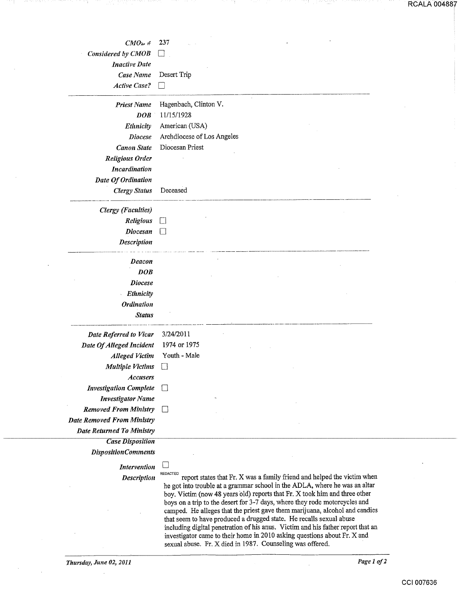RCALA 004887

|                                               | 237                        |
|-----------------------------------------------|----------------------------|
| $CMO$ $\rightarrow$ $#$<br>Considered by CMOB |                            |
| <b>Inactive Date</b>                          |                            |
| Case Name                                     | Desert Trip                |
| <b>Active Case?</b>                           |                            |
|                                               |                            |
| <b>Priest Name</b>                            | Hagenbach, Clinton V.      |
| <b>DOB</b>                                    | 11/15/1928                 |
| Ethnicity                                     | American (USA)             |
| <b>Diocese</b>                                | Archdiocese of Los Angeles |
| <b>Canon State</b>                            | Diocesan Priest            |
| <b>Religious Order</b>                        |                            |
| Incardination                                 |                            |
| Date Of Ordination                            |                            |
| <b>Clergy Status</b>                          | Deceased                   |
| <b>Clergy</b> (Faculties)                     |                            |
| <b>Religious</b>                              | $\mathsf{L}$               |
| <b>Diocesan</b>                               |                            |
| Description                                   |                            |
| Deacon                                        |                            |
| DOB                                           |                            |
| <b>Diocese</b>                                |                            |
| Ethnicity                                     |                            |
| <b>Ordination</b>                             |                            |
| <b>Status</b>                                 |                            |
| Date Referred to Vicar                        | 3/24/2011                  |
| Date Of Alleged Incident                      | 1974 or 1975               |
| <b>Alleged Victim</b>                         | Youth - Male               |
| <b>Multiple Victims</b>                       | $\Box$                     |
| <b>Accusers</b>                               |                            |
| <b>Investigation Complete</b>                 |                            |
| <b>Investigator Name</b>                      |                            |
| <b>Removed From Ministry</b>                  |                            |
| <b>Date Removed From Ministry</b>             |                            |
| <b>Date Returned To Ministry</b>              |                            |
| <b>Case Disposition</b>                       |                            |
| <b>DispositionComments</b>                    |                            |
| <b>Intervention</b>                           |                            |

*Description* REDACTED report states that Fr. X was a family friend and helped the victim when he got into trouble at a grammar school in the ADLA, where he was an altar boy. Victim (now 48 years old) reports that Fr. X took him and three other boys on a trip to the desert for 3-7 days, where they rode motorcycles and camped. He alleges that the priest gave them marijuana, alcohol and candies that seem to have produced a drugged state. He recalls sexual abuse including digital penetration of his anus. Victim and his father report that an investigator came to their home in 2010 asking questions about Fr. X and sexual abuse. Fr. X died in 1987. Counseling was offered.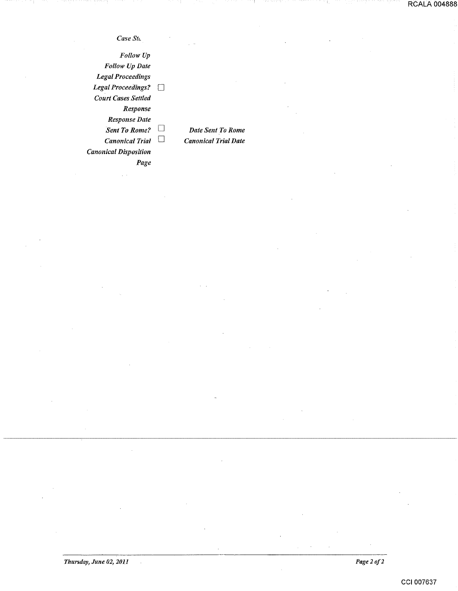*CaseStt,* 

*Follow Up Follow Up Date Legal Proceedings Legal Proceeilings?*   $\Box$ *Court Cases Settled Response Response Date*   $\Box$ *Sent To Rome?*  $\Box$ *Canonical Trial* 0 *Canonical Disposition Page* 

*Date Sent To Rome Canonical Trial Date* 

*Thursday, June 02, 2011* 

 $\hat{\mathcal{A}}$ 

*Page2of2*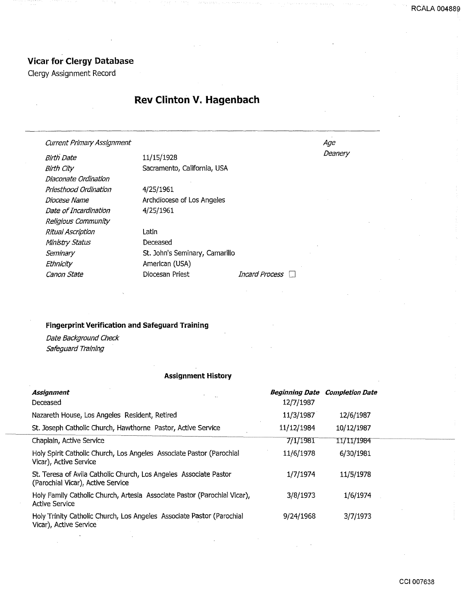## **Vicar for Clergy Database**

Clergy Assignment Record

# **Rev Clinton V. Hagenbach**

Current Primary Assignment

Birth Date Birth City Diaconate Ordination Priesthood Ordination Diocese Name Date of Incardination Religious Community Ritual Ascription Ministry Status **Seminary** Ethnicity

11/15/1928 Sacramento, California, USA

4/25/1961 Archdiocese of Los Angeles 4/25/1961

Latin Deceased St. John's Seminary, Camarillo American (USA) Canon State **Diocesan Priest** Diocesan Priest *Incard Process* 

### **Fingerprint Verification and Safeguard Training**

Date Background Check Safeguard Training

### **Assignment History**

| Assignment<br>Deceased                                                                                 | 12/7/1987  | <b>Beginning Date Completion Date</b> |
|--------------------------------------------------------------------------------------------------------|------------|---------------------------------------|
| Nazareth House, Los Angeles Resident, Retired                                                          | 11/3/1987  | 12/6/1987                             |
| St. Joseph Catholic Church, Hawthorne Pastor, Active Service                                           | 11/12/1984 | 10/12/1987                            |
| Chaplain, Active Service                                                                               | 7/1/1981   | 11/11/1984                            |
| Holy Spirit Catholic Church, Los Angeles Associate Pastor (Parochial<br>Vicar), Active Service         | 11/6/1978  | 6/30/1981                             |
| St. Teresa of Avila Catholic Church, Los Angeles Associate Pastor<br>(Parochial Vicar), Active Service | 1/7/1974   | 11/5/1978                             |
| Holy Family Catholic Church, Artesia Associate Pastor (Parochial Vicar),<br><b>Active Service</b>      | 3/8/1973   | 1/6/1974                              |
| Holy Trinity Catholic Church, Los Angeles Associate Pastor (Parochial<br>Vicar), Active Service        | 9/24/1968  | 3/7/1973                              |

Age **Deanery**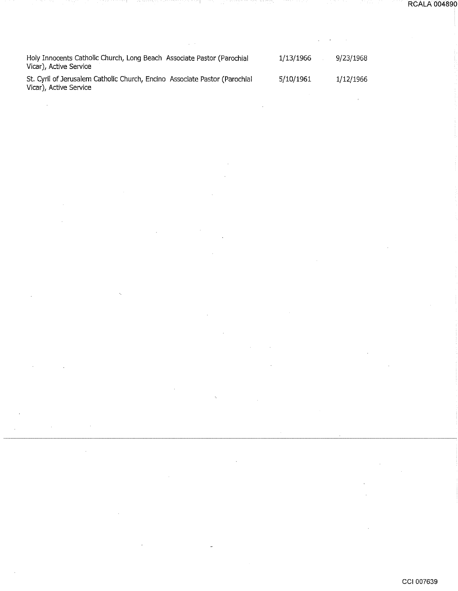Holy Innocents Catholic Church, Long Beach Associate Pastor (Parochial Vicar), Active Service 1/13/1966 5/10/1961

St. Cyril of Jerusalem Catholic Church, Encino Associate Pastor (Parochial Vicar), Active Service

 $\bar{\beta}$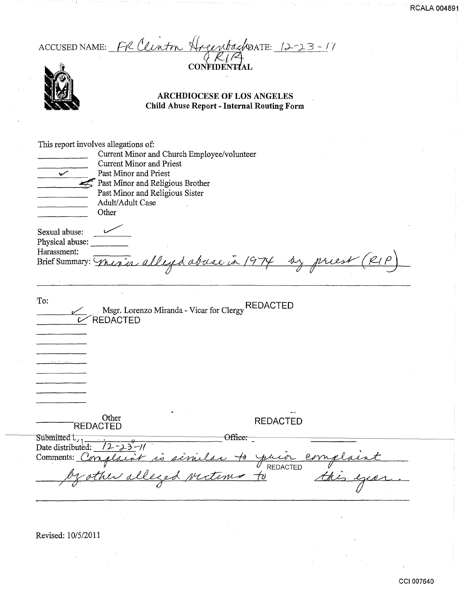| ACCUSED NAME: FR Clinton Hogenbackpate: 12-23-11<br><b>CONFIDENTIAL</b><br><b>ARCHDIOCESE OF LOS ANGELES</b><br><b>Child Abuse Report - Internal Routing Form</b>                                                                                                   |
|---------------------------------------------------------------------------------------------------------------------------------------------------------------------------------------------------------------------------------------------------------------------|
| This report involves allegations of:<br>Current Minor and Church Employee/volunteer<br><b>Current Minor and Priest</b><br>Past Minor and Priest<br>$\checkmark$<br>Past Minor and Religious Brother<br>Past Minor and Religious Sister<br>Adult/Adult Case<br>Other |
| Sexual abuse:<br>Physical abuse:<br>Harassment:<br>by priest<br>Brief Summary: Mexico alleged abuse in 1974<br>To:<br><b>REDACTED</b>                                                                                                                               |
| Msgr. Lorenzo Miranda - Vicar for Clergy<br><b>REDACTED</b>                                                                                                                                                                                                         |
| Other<br><b>REDACTED</b><br><b>REDACTED</b>                                                                                                                                                                                                                         |
| Office:<br>Submitted $L_1$ $\frac{u}{(2-\lambda)^2-1}$<br>Date distributed: $(2-\lambda)^2-1$<br>Comments: Conglair is similar to your<br>complaint                                                                                                                 |

ina mwaka wa 1992 ya Kas

27. YE

ting i

iya nga giyan

**RCALA 00489** 

Revised: 10/5/2011

 $\mathcal{A}^{\mathcal{A}}$ 

 $\mathcal{A}$ 

- 11

 $\sim$ 

19 H

 $\cdot$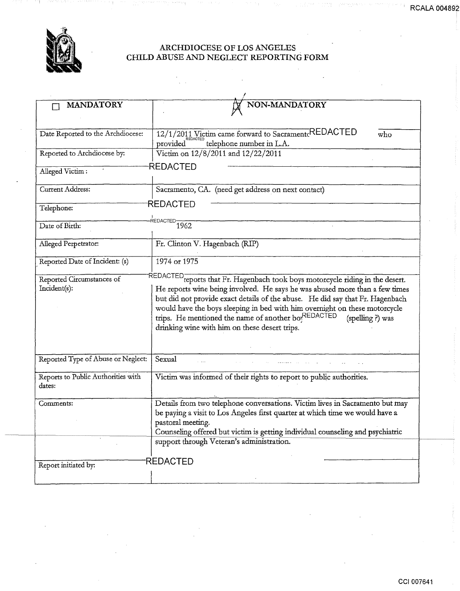

### ARCHDIOCESE OF LOS ANGELES CHILD ABUSE AND NEGLECT REPORTING FORM

 $\bar{\mathcal{L}}$ 

 $\label{eq:2.1} \frac{1}{\sqrt{2}}\sum_{i=1}^n\frac{1}{\sqrt{2}}\left(\frac{1}{\sqrt{2}}\sum_{i=1}^n\frac{1}{\sqrt{2}}\right)\left(\frac{1}{\sqrt{2}}\sum_{i=1}^n\frac{1}{\sqrt{2}}\right)\left(\frac{1}{\sqrt{2}}\sum_{i=1}^n\frac{1}{\sqrt{2}}\right)\left(\frac{1}{\sqrt{2}}\sum_{i=1}^n\frac{1}{\sqrt{2}}\right)\left(\frac{1}{\sqrt{2}}\sum_{i=1}^n\frac{1}{\sqrt{2}}\right)\left(\frac{1}{\sqrt{2}}\sum_{i=$ 

| <b>MANDATORY</b>                             | NON-MANDATORY                                                                                                                                                                                                                                                                                                                                                          |     |
|----------------------------------------------|------------------------------------------------------------------------------------------------------------------------------------------------------------------------------------------------------------------------------------------------------------------------------------------------------------------------------------------------------------------------|-----|
|                                              |                                                                                                                                                                                                                                                                                                                                                                        |     |
| Date Reported to the Archdiocese:            | 12/1/2011 Victim came forward to Sacrament REDACTED<br>provided<br>telephone number in L.A.                                                                                                                                                                                                                                                                            | who |
| Reported to Archdiocese by:                  | Victim on 12/8/2011 and 12/22/2011                                                                                                                                                                                                                                                                                                                                     |     |
| Alleged Victim:                              | REDACTED                                                                                                                                                                                                                                                                                                                                                               |     |
| Current Address:                             | Sacramento, CA. (need get address on next contact)                                                                                                                                                                                                                                                                                                                     |     |
| Telephone:                                   | <b>REDACTED</b>                                                                                                                                                                                                                                                                                                                                                        |     |
| Date of Birth:                               | REDACTED $\frac{1}{1962}$                                                                                                                                                                                                                                                                                                                                              |     |
| Alleged Perpetrator:                         | Fr. Clinton V. Hagenbach (RIP)                                                                                                                                                                                                                                                                                                                                         |     |
| Reported Date of Incident: (s)               | 1974 or 1975                                                                                                                                                                                                                                                                                                                                                           |     |
| Reported Circumstances of                    | REDACTED reports that Fr. Hagenbach took boys motorcycle riding in the desert.                                                                                                                                                                                                                                                                                         |     |
| Incident(s):                                 | He reports wine being involved. He says he was abused more than a few times<br>but did not provide exact details of the abuse. He did say that Fr. Hagenbach<br>would have the boys sleeping in bed with him overnight on these motorcycle<br>trips. He mentioned the name of another boyREDACTED<br>(spelling ?) was<br>drinking wine with him on these desert trips. |     |
| Reported Type of Abuse or Neglect:           | Sexual                                                                                                                                                                                                                                                                                                                                                                 |     |
| Reports to Public Authorities with<br>dates: | Victim was informed of their rights to report to public authorities.                                                                                                                                                                                                                                                                                                   |     |
| Comments:                                    | Details from two telephone conversations. Victim lives in Sacramento but may<br>be paying a visit to Los Angeles first quarter at which time we would have a<br>pastoral meeting.<br>Counseling offered but victim is getting individual counseling and psychiatric<br>support through Veteran's administration.                                                       |     |
| Report initiated by:                         | <b>REDACTED</b>                                                                                                                                                                                                                                                                                                                                                        |     |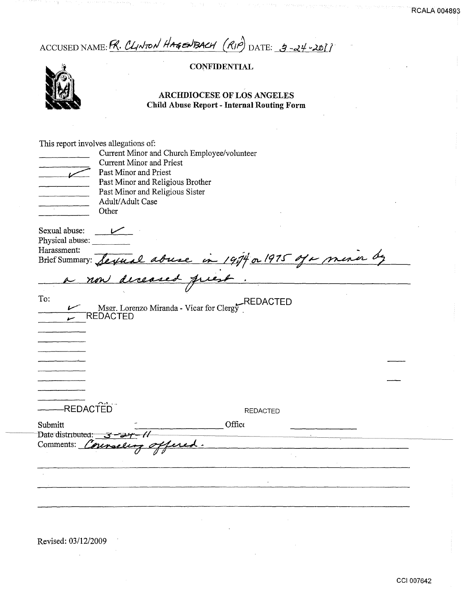ACCUSED NAME: R. CLINTON HAGENBACH (RIP) DATE: 9-24-20[]

## **CONFIDENTIAL**



### ARCHDIOCESE OF LOS ANGELES Child Abuse Report - Internal Routing Form

|                       |                                  | Current Minor and Church Employee/volunteer               |  |
|-----------------------|----------------------------------|-----------------------------------------------------------|--|
|                       | <b>Current Minor and Priest</b>  |                                                           |  |
|                       | Past Minor and Priest            |                                                           |  |
|                       | Past Minor and Religious Brother |                                                           |  |
|                       | Past Minor and Religious Sister  |                                                           |  |
|                       | Adult/Adult Case                 |                                                           |  |
|                       | Other                            |                                                           |  |
| Sexual abuse:         |                                  |                                                           |  |
| Physical abuse:       |                                  |                                                           |  |
| Harassment:           |                                  |                                                           |  |
|                       |                                  | Brief Summary: Sexual abuse in 1994 or 1975 of a menor by |  |
|                       |                                  |                                                           |  |
|                       |                                  |                                                           |  |
|                       |                                  |                                                           |  |
| To:                   |                                  | REDACTED<br>EDACTED:<br>EDACTED:                          |  |
|                       | <b>REDACTED</b>                  |                                                           |  |
|                       |                                  |                                                           |  |
|                       |                                  |                                                           |  |
|                       |                                  |                                                           |  |
|                       |                                  |                                                           |  |
|                       |                                  |                                                           |  |
|                       |                                  |                                                           |  |
|                       |                                  |                                                           |  |
|                       |                                  |                                                           |  |
|                       |                                  |                                                           |  |
| -REDACTED             |                                  | <b>REDACTED</b>                                           |  |
| Submitt               |                                  | Office                                                    |  |
| Date distributed: $3$ |                                  |                                                           |  |
| Comments: Conen       |                                  |                                                           |  |
|                       |                                  |                                                           |  |
|                       |                                  |                                                           |  |
|                       |                                  |                                                           |  |
|                       |                                  |                                                           |  |
|                       |                                  |                                                           |  |
|                       |                                  |                                                           |  |

Revised: 03/12/2009